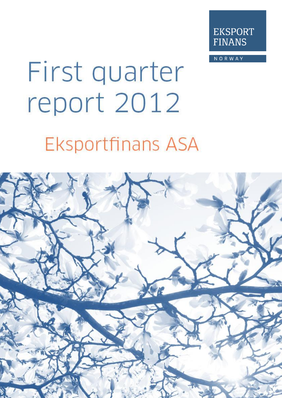

**NORWAY** 

# First quarter report 2012 **Eksportfinans ASA**

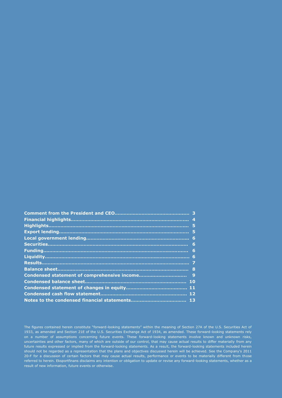| 6   |
|-----|
| 6   |
|     |
|     |
| -8  |
| - 9 |
| 10  |
|     |
|     |
|     |

The figures contained herein constitute "forward-looking statements" within the meaning of Section 27A of the U.S. Securities Act of 1933, as amended and Section 21E of the U.S. Securities Exchange Act of 1934, as amended. These forward-looking statements rely on a number of assumptions concerning future events. These forward-looking statements involve known and unknown risks, uncertainties and other factors, many of which are outside of our control, that may cause actual results to differ materially from any future results expressed or implied from the forward-looking statements. As a result, the forward-looking statements included herein should not be regarded as a representation that the plans and objectives discussed herein will be achieved. See the Company's 2011 20-F for a discussion of certain factors that may cause actual results, performance or events to be materially different from those referred to herein. Eksportfinans disclaims any intention or obligation to update or revise any forward-looking statements, whether as a result of new information, future events or otherwise.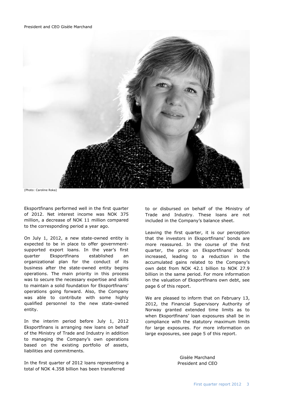

(Photo: Caroline Roka)

Eksportfinans performed well in the first quarter of 2012. Net interest income was NOK 375 million, a decrease of NOK 11 million compared to the corresponding period a year ago.

On July 1, 2012, a new state-owned entity is expected to be in place to offer governmentsupported export loans. In the year's first quarter Eksportfinans established an organizational plan for the conduct of its business after the state-owned entity begins operations. The main priority in this process was to secure the necessary expertise and skills to maintain a solid foundation for Eksportfinans' operations going forward. Also, the Company was able to contribute with some highly qualified personnel to the new state-owned entity.

In the interim period before July 1, 2012 Eksportfinans is arranging new loans on behalf of the Ministry of Trade and Industry in addition to managing the Company's own operations based on the existing portfolio of assets, liabilities and commitments.

In the first quarter of 2012 loans representing a total of NOK 4.358 billion has been transferred

to or disbursed on behalf of the Ministry of Trade and Industry. These loans are not included in the Company's balance sheet.

Leaving the first quarter, it is our perception that the investors in Eksportfinans' bonds are more reassured. In the course of the first quarter, the price on Eksportfinans' bonds increased, leading to a reduction in the accumulated gains related to the Company's own debt from NOK 42.1 billion to NOK 27.9 billion in the same period. For more information on the valuation of Eksportfinans own debt, see page 6 of this report.

We are pleased to inform that on February 13, 2012, the Financial Supervisory Authority of Norway granted extended time limits as to when Eksportfinans' loan exposures shall be in compliance with the statutory maximum limits for large exposures. For more information on large exposures, see page 5 of this report.

> Gisèle Marchand President and CEO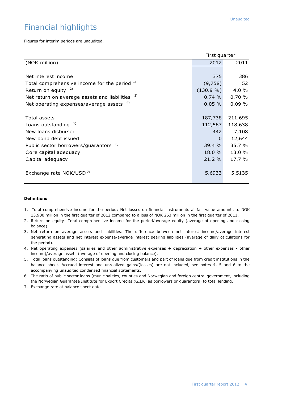# Financial highlights

Figures for interim periods are unaudited.

|                                                  | First quarter |         |  |  |
|--------------------------------------------------|---------------|---------|--|--|
| (NOK million)                                    | 2012          | 2011    |  |  |
|                                                  |               |         |  |  |
| Net interest income                              | 375           | 386     |  |  |
| Total comprehensive income for the period 1)     | (9,758)       | 52      |  |  |
| Return on equity $2)$                            | (130.9 %)     | 4.0 %   |  |  |
| Net return on average assets and liabilities 3)  | 0.74%         | 0.70%   |  |  |
| Net operating expenses/average assets 4)         | 0.05%         | 0.09%   |  |  |
|                                                  |               |         |  |  |
| Total assets                                     | 187,738       | 211,695 |  |  |
| Loans outstanding 5)                             | 112,567       | 118,638 |  |  |
| New loans disbursed                              | 442           | 7,108   |  |  |
| New bond debt issued                             | $\Omega$      | 12,644  |  |  |
| Public sector borrowers/guarantors <sup>6)</sup> | 39.4 %        | 35.7 %  |  |  |
| Core capital adequacy                            | 18.0 %        | 13.0 %  |  |  |
| Capital adequacy                                 | 21.2 %        | 17.7 %  |  |  |
|                                                  |               |         |  |  |
| Exchange rate NOK/USD <sup>7)</sup>              | 5.6933        | 5.5135  |  |  |
|                                                  |               |         |  |  |

#### **Definitions**

- 1.Total comprehensive income for the period: Net losses on financial instruments at fair value amounts to NOK 13,900 million in the first quarter of 2012 compared to a loss of NOK 263 million in the first quarter of 2011.
- 2. Return on equity: Total comprehensive income for the period/average equity (average of opening and closing balance).
- 3. Net return on average assets and liabilities: The difference between net interest income/average interest generating assets and net interest expense/average interest bearing liabilities (average of daily calculations for the period).
- 4. Net operating expenses (salaries and other administrative expenses + depreciation + other expenses other income)/average assets (average of opening and closing balance).
- 5. Total loans outstanding: Consists of loans due from customers and part of loans due from credit institutions in the balance sheet. Accrued interest and unrealized gains/(losses) are not included, see notes 4, 5 and 6 to the accompanying unaudited condensed financial statements.
- 6. The ratio of public sector loans (municipalities, counties and Norwegian and foreign central government, including the Norwegian Guarantee Institute for Export Credits (GIEK) as borrowers or guarantors) to total lending.
- 7. Exchange rate at balance sheet date.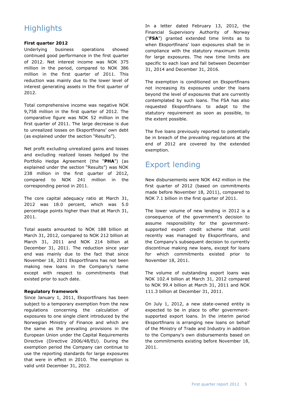# **Highlights**

#### **First quarter 2012**

Underlying business operations showed continued good performance in the first quarter of 2012. Net interest income was NOK 375 million in the period, compared to NOK 386 million in the first quarter of 2011. This reduction was mainly due to the lower level of interest generating assets in the first quarter of 2012.

Total comprehensive income was negative NOK 9,758 million in the first quarter of 2012. The comparative figure was NOK 52 million in the first quarter of 2011. The large decrease is due to unrealized losses on Eksportfinans' own debt (as explained under the section "Results").

Net profit excluding unrealized gains and losses and excluding realized losses hedged by the Portfolio Hedge Agreement (the "**PHA**") (as explained under the section "Results") was NOK 238 million in the first quarter of 2012, compared to NOK 241 million in the corresponding period in 2011.

The core capital adequacy ratio at March 31, 2012 was 18.0 percent, which was 5.0 percentage points higher than that at March 31, 2011.

Total assets amounted to NOK 188 billion at March 31, 2012, compared to NOK 212 billion at March 31, 2011 and NOK 214 billion at December 31, 2011. The reduction since year end was mainly due to the fact that since November 18, 2011 Eksportfinans has not been making new loans in the Company's name except with respect to commitments that existed prior to such date.

#### **Regulatory framework**

Since January 1, 2011, Eksportfinans has been subject to a temporary exemption from the new regulations concerning the calculation of exposures to one single client introduced by the Norwegian Ministry of Finance and which are the same as the prevailing provisions in the European Union under the Capital Requirements Directive (Directive 2006/48/EU). During the exemption period the Company can continue to use the reporting standards for large exposures that were in effect in 2010. The exemption is valid until December 31, 2012.

In a letter dated February 13, 2012, the Financial Supervisory Authority of Norway ("**FSA**") granted extended time limits as to when Eksportfinans' loan exposures shall be in compliance with the statutory maximum limits for large exposures. The new time limits are specific to each loan and fall between December 31, 2014 and December 31, 2016.

The exemption is conditioned on Eksportfinans not increasing its exposures under the loans beyond the level of exposures that are currently contemplated by such loans. The FSA has also requested Eksportfinans to adapt to the statutory requirement as soon as possible, to the extent possible.

The five loans previously reported to potentially be in breach of the prevailing regulations at the end of 2012 are covered by the extended exemption.

# Export lending

New disbursements were NOK 442 million in the first quarter of 2012 (based on commitments made before November 18, 2011), compared to NOK 7.1 billion in the first quarter of 2011.

The lower volume of new lending in 2012 is a consequence of the government's decision to assume responsibility for the governmentsupported export credit scheme that until recently was managed by Eksportfinans, and the Company's subsequent decision to currently discontinue making new loans, except for loans for which commitments existed prior to November 18, 2011.

The volume of outstanding export loans was NOK 102.4 billion at March 31, 2012 compared to NOK 99.4 billion at March 31, 2011 and NOK 111.3 billion at December 31, 2011.

On July 1, 2012, a new state-owned entity is expected to be in place to offer governmentsupported export loans. In the interim period Eksportfinans is arranging new loans on behalf of the Ministry of Trade and Industry in addition to the Company's own disbursements based on the commitments existing before November 18, 2011.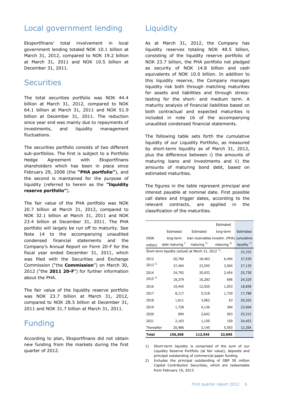## Local government lending

Eksportfinans' total involvement in local government lending totaled NOK 10.1 billion at March 31, 2012, compared to NOK 19.2 billion at March 31, 2011 and NOK 10.5 billion at December 31, 2011.

## **Securities**

The total securities portfolio was NOK 44.4 billion at March 31, 2012, compared to NOK 64.1 billion at March 31, 2011 and NOK 51.9 billion at December 31, 2011. The reduction since year end was mainly due to repayments of investments, and liquidity management fluctuations.

The securities portfolio consists of two different sub-portfolios. The first is subject to a Portfolio Hedge Agreement with Eksportfinans shareholders which has been in place since February 29, 2008 (the **"PHA portfolio"**), and the second is maintained for the purpose of liquidity (referred to herein as the **"liquidity reserve portfolio"**).

The fair value of the PHA portfolio was NOK 20.7 billion at March 31, 2012, compared to NOK 32.1 billion at March 31, 2011 and NOK 23.4 billion at December 31, 2011. The PHA portfolio will largely be run off to maturity. See Note 14 to the accompanying unaudited condensed financial statements and the Company's Annual Report on Form 20-F for the fiscal year ended December 31, 2011, which was filed with the Securities and Exchange Commission ("the **Commission**") on March 30, 2012 ("the **2011 20-F**") for further information about the PHA.

The fair value of the liquidity reserve portfolio was NOK 23.7 billion at March 31, 2012, compared to NOK 28.5 billion at December 31, 2011 and NOK 31.7 billion at March 31, 2011.

# Funding

According to plan, Eksportfinans did not obtain new funding from the markets during the first quarter of 2012.

# **Liquidity**

As at March 31, 2012, the Company has liquidity reserves totaling NOK 48.5 billion, consisting of the liquidity reserve portfolio of NOK 23.7 billion, the PHA portfolio not pledged as security of NOK 14.8 billion and cash equivalents of NOK 10.0 billion. In addition to this liquidity reserve, the Company manages liquidity risk both through matching maturities for assets and liabilities and through stresstesting for the short- and medium term. A maturity analysis of financial liabilities based on both contractual and expected maturities is included in note 16 of the accompanying unaudited condensed financial statements.

The following table sets forth the cumulative liquidity of our Liquidity Portfolio, as measured by short-term liquidity as of March 31, 2012, plus the difference between i) the amounts of maturing loans and investments and ii) the amounts of maturing bond debt, based on estimated maturities.

The figures in the table represent principal and interest payable at nominal date. First possible call dates and trigger dates, according to the relevant contracts, are applied in the classification of the maturities.

|              |                                                                 |                                 | Estimated              |                         |
|--------------|-----------------------------------------------------------------|---------------------------------|------------------------|-------------------------|
|              | Estimated                                                       | Estimated                       | long-term              | Estimated               |
| (NOK         | long-term                                                       | loan receivables investm. (PHA) |                        | cumulative              |
| million)     | debt maturing <sup>4</sup>                                      | maturing <sup>5)</sup>          | maturing <sup>6)</sup> | liquidity <sup>7)</sup> |
|              | Short-term liquidity (actual) at March 31, 2012 <sup>1)</sup> : |                                 |                        | 33,333                  |
| 2012         | 20,760                                                          | 18,463                          | 6,494                  | 37,530                  |
| $2013^{2}$   | 37,494                                                          | 23,595                          | 3,504                  | 27,135                  |
| 2014         | 24,792                                                          | 20,932                          | 2,454                  | 25,730                  |
| $2015^{3}$   | 18,379                                                          | 16,283                          | 696                    | 24,329                  |
| 2016         | 19,445                                                          | 12,920                          | 1,053                  | 18,858                  |
| 2017         | 8,117                                                           | 5,318                           | 1,729                  | 17,788                  |
| 2018         | 1,611                                                           | 3,962                           | 63                     | 20,202                  |
| 2019         | 1,728                                                           | 4,136                           | 394                    | 23,004                  |
| 2020         | 894                                                             | 2,642                           | 563                    | 25,315                  |
| 2021         | 2,163                                                           | 1,150                           | 150                    | 24,453                  |
| Thereafter   | 20,986                                                          | 3,145                           | 5,593                  | 12,204                  |
| <b>Total</b> | 156,368                                                         | 112,545                         | 22,695                 |                         |

1) Short-term liquidity is comprised of the sum of our Liquidity Reserve Portfolio (at fair value), deposits and principal outstanding of commercial paper funding

2) Includes the principal outstanding of GBP 50 million Capital Contribution Securities, which are redeemable from February 19, 2013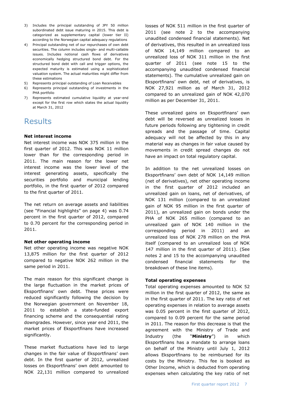- 3) Includes the principal outstanding of JPY 50 million subordinated debt issue maturing in 2015. This debt is categorized as supplementary capital (lower tier II) according to the Norwegian capital adequacy regulations
- 4) Principal outstanding net of our repurchases of own debt securities. The column includes single- and multi-callable issues. Includes notional cash flows of derivatives economically hedging structured bond debt. For the structured bond debt with call and trigger options, the expected maturity is estimated using a sophisticated valuation system. The actual maturities might differ from these estimations
- 5) Represents principal outstanding of Loan Receivables
- 6) Represents principal outstanding of investments in the PHA portfolio
- 7) Represents estimated cumulative liquidity at year-end except for the first row which states the actual liquidity at March 31, 2012

# **Results**

#### **Net interest income**

Net interest income was NOK 375 million in the first quarter of 2012. This was NOK 11 million lower than for the corresponding period in 2011. The main reason for the lower net interest income was the lower level of the interest generating assets, specifically the securities portfolio and municipal lending portfolio, in the first quarter of 2012 compared to the first quarter of 2011.

The net return on average assets and liabilities (see "Financial highlights" on page 4) was 0.74 percent in the first quarter of 2012, compared to 0.70 percent for the corresponding period in 2011.

#### **Net other operating income**

Net other operating income was negative NOK 13,875 million for the first quarter of 2012 compared to negative NOK 262 million in the same period in 2011.

The main reason for this significant change is the large fluctuation in the market prices of Eksportfinans' own debt. These prices were reduced significantly following the decision by the Norwegian government on November 18, 2011 to establish a state-funded export financing scheme and the consequential rating downgrades. However, since year end 2011, the market prices of Eksportfinans have increased significantly.

These market fluctuations have led to large changes in the fair value of Eksportfinans' own debt. In the first quarter of 2012, unrealized losses on Eksportfinans' own debt amounted to NOK 22,131 million compared to unrealized

losses of NOK 511 million in the first quarter of 2011 (see note 2 to the accompanying unaudited condensed financial statements). Net of derivatives, this resulted in an unrealized loss of NOK 14,149 million compared to an unrealized loss of NOK 311 million in the first quarter of 2011 (see note 15 to the accompanying unaudited condensed financial statements). The cumulative unrealized gain on Eksportfinans' own debt, net of derivatives, is NOK 27,921 million as of March 31, 2012 compared to an unrealized gain of NOK 42,070 million as per December 31, 2011.

These unrealized gains on Eksportfinans' own debt will be reversed as unrealized losses in future periods following any tightening in credit spreads and the passage of time. Capital adequacy will not be affected by this in any material way as changes in fair value caused by movements in credit spread changes do not have an impact on total regulatory capital.

In addition to the net unrealized losses on Eksportfinans' own debt of NOK 14,149 million (net of derivatives), net other operating income in the first quarter of 2012 included an unrealized gain on loans, net of derivatives, of NOK 131 million (compared to an unrealized gain of NOK 95 million in the first quarter of 2011), an unrealized gain on bonds under the PHA of NOK 265 million (compared to an unrealized gain of NOK 140 million in the corresponding period in 2011) and an unrealized loss of NOK 278 million on the PHA itself (compared to an unrealized loss of NOK 147 million in the first quarter of 2011). (See notes 2 and 15 to the accompanying unaudited condensed financial statements for the breakdown of these line items).

#### **Total operating expenses**

Total operating expenses amounted to NOK 52 million in the first quarter of 2012, the same as in the first quarter of 2011. The key ratio of net operating expenses in relation to average assets was 0.05 percent in the first quarter of 2012, compared to 0.09 percent for the same period in 2011. The reason for this decrease is that the agreement with the Ministry of Trade and Industry (the "**Ministry**") in which Eksportfinans has a mandate to arrange loans on behalf of the Ministry until July 1, 2012 allows Eksportfinans to be reimbursed for its costs by the Ministry. This fee is booked as Other Income, which is deducted from operating expenses when calculating the key ratio of net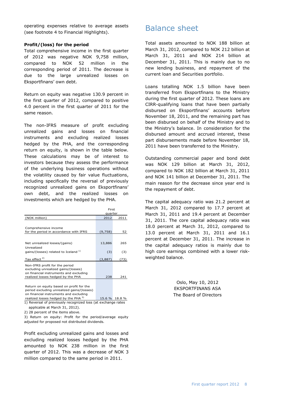operating expenses relative to average assets (see footnote 4 to Financial Highlights).

#### **Profit/(loss) for the period**

Total comprehensive income in the first quarter of 2012 was negative NOK 9,758 million, compared to NOK 52 million in the corresponding period of 2011. The decrease is due to the large unrealized losses on Eksportfinans' own debt.

Return on equity was negative 130.9 percent in the first quarter of 2012, compared to positive 4.0 percent in the first quarter of 2011 for the same reason.

The non-IFRS measure of profit excluding unrealized gains and losses on financial instruments and excluding realized losses hedged by the PHA, and the corresponding return on equity, is shown in the table below. These calculations may be of interest to investors because they assess the performance of the underlying business operations without the volatility caused by fair value fluctuations, including specifically the reversal of previously recognized unrealized gains on Eksportfinans' own debt, and the realized losses on investments which are hedged by the PHA.

|                                                                                                                                                                                                                                                                             | First   |      |  |  |
|-----------------------------------------------------------------------------------------------------------------------------------------------------------------------------------------------------------------------------------------------------------------------------|---------|------|--|--|
|                                                                                                                                                                                                                                                                             | quarter |      |  |  |
| (NOK million)                                                                                                                                                                                                                                                               | 2012    | 2011 |  |  |
|                                                                                                                                                                                                                                                                             |         |      |  |  |
| Comprehensive income<br>for the period in accordance with IFRS                                                                                                                                                                                                              | (9,758) | 52   |  |  |
|                                                                                                                                                                                                                                                                             |         |      |  |  |
| Net unrealized losses/(gains)<br>Unrealized                                                                                                                                                                                                                                 | 13,886  | 265  |  |  |
| gains/(losses) related to Iceland 1)                                                                                                                                                                                                                                        | (3)     | (3)  |  |  |
| Tax effect $2)$                                                                                                                                                                                                                                                             | (3,887) | (73) |  |  |
| Non-IFRS profit for the period<br>excluding unrealized gains/(losses)<br>on financial instruments and excluding<br>realized losses hedged by the PHA                                                                                                                        | 238     | 241  |  |  |
|                                                                                                                                                                                                                                                                             |         |      |  |  |
| Return on equity based on profit for the<br>$\sim$ . The state of the state of the state of the state of the state of the state of the state of the state of the state of the state of the state of the state of the state of the state of the state of the state of the st |         |      |  |  |

period excluding unrealized gains/(losses) on financial instruments and excluding

realized losses hedged by the PHA  $^{3}$  15.6 % 18.8 % 1) Reversal of previously recognized loss (at exchange rates applicable at March 31, 2012).

2) 28 percent of the items above.

3) Return on equity: Profit for the period/average equity adjusted for proposed not distributed dividends.

Profit excluding unrealized gains and losses and excluding realized losses hedged by the PHA amounted to NOK 238 million in the first quarter of 2012. This was a decrease of NOK 3 million compared to the same period in 2011.

## Balance sheet

Total assets amounted to NOK 188 billion at March 31, 2012, compared to NOK 212 billion at March 31, 2011 and NOK 214 billion at December 31, 2011. This is mainly due to no new lending business, and repayment of the current loan and Securities portfolio.

Loans totalling NOK 1.5 billion have been transferred from Eksportfinans to the Ministry during the first quarter of 2012. These loans are CIRR-qualifying loans that have been partially disbursed on Eksportfinans' accounts before November 18, 2011, and the remaining part has been disbursed on behalf of the Ministry and to the Ministry's balance. In consideration for the disbursed amount and accrued interest, these part disbursements made before November 18, 2011 have been transferred to the Ministry.

Outstanding commercial paper and bond debt was NOK 129 billion at March 31, 2012, compared to NOK 182 billion at March 31, 2011 and NOK 141 billion at December 31, 2011. The main reason for the decrease since year end is the repayment of debt.

The capital adequacy ratio was 21.2 percent at March 31, 2012 compared to 17.7 percent at March 31, 2011 and 19.4 percent at December 31, 2011. The core capital adequacy ratio was 18.0 percent at March 31, 2012, compared to 13.0 percent at March 31, 2011 and 16.1 percent at December 31, 2011. The increase in the capital adequacy ratios is mainly due to high core earnings combined with a lower riskweighted balance.

> Oslo, May 10, 2012 EKSPORTFINANS ASA The Board of Directors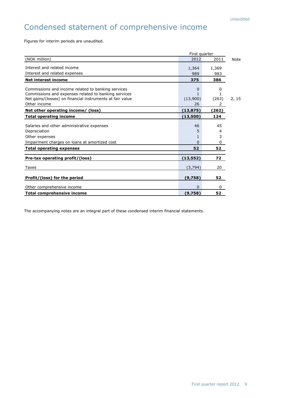# Condensed statement of comprehensive income

Figures for interim periods are unaudited.

| First quarter                                             |           |       |       |
|-----------------------------------------------------------|-----------|-------|-------|
| (NOK million)                                             | 2012      | 2011  | Note  |
| Interest and related income                               | 1,364     | 1,369 |       |
| Interest and related expenses                             | 989       | 983   |       |
| <b>Net interest income</b>                                | 375       | 386   |       |
| Commissions and income related to banking services        | 0         | 0     |       |
| Commissions and expenses related to banking services      |           |       |       |
| Net gains/(losses) on financial instruments at fair value | (13,900)  | (263) | 2, 15 |
| Other income                                              | 26        | 2     |       |
| Net other operating income/ (loss)                        | (13, 875) | (262) |       |
| <b>Total operating income</b>                             | (13,500)  | 124   |       |
| Salaries and other administrative expenses                | 46        | 45    |       |
| Depreciation                                              | 5         | 4     |       |
| Other expenses                                            |           | 3     |       |
| Impairment charges on loans at amortized cost             | $\Omega$  | 0     |       |
| <b>Total operating expenses</b>                           | 52        | 52    |       |
|                                                           |           | 72    |       |
| Pre-tax operating profit/(loss)                           | (13,552)  |       |       |
| Taxes                                                     | (3,794)   | 20    |       |
| Profit/(loss) for the period                              | (9,758)   | 52    |       |
| Other comprehensive income                                | 0         | 0     |       |
| <b>Total comprehensive income</b>                         | (9,758)   | 52    |       |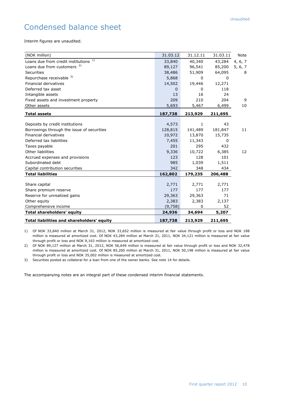# Condensed balance sheet

Interim figures are unaudited.

| (NOK million)                              | 31.03.12 | 31.12.11     | 31.03.11 | Note    |
|--------------------------------------------|----------|--------------|----------|---------|
| 1)<br>Loans due from credit institutions   | 33,840   | 40,340       | 43,284   | 4, 6, 7 |
| Loans due from customers <sup>2)</sup>     | 89,127   | 96,541       | 85,200   | 5, 6, 7 |
| Securities                                 | 38,486   | 51,909       | 64,095   | 8       |
| Repurchase receivable 3)                   | 5,868    | 0            | 0        |         |
| <b>Financial derivatives</b>               | 14,502   | 19,446       | 12,271   |         |
| Deferred tax asset                         | 0        | 0            | 118      |         |
| Intangible assets                          | 13       | 16           | 24       |         |
| Fixed assets and investment property       | 209      | 210          | 204      | 9       |
| Other assets                               | 5,693    | 5,467        | 6,499    | 10      |
| <b>Total assets</b>                        | 187,738  | 213,929      | 211,695  |         |
|                                            |          |              |          |         |
| Deposits by credit institutions            | 4,573    | $\mathbf{1}$ | 43       |         |
| Borrowings through the issue of securities | 128,815  | 141,489      | 181,847  | 11      |
| <b>Financial derivatives</b>               | 10,972   | 13,870       | 15,735   |         |
| Deferred tax liabilities                   | 7,455    | 11,343       | 0        |         |
| Taxes payable                              | 201      | 295          | 432      |         |
| Other liabilities                          | 9,336    | 10,722       | 6,385    | 12      |
| Accrued expenses and provisions            | 123      | 128          | 101      |         |
| Subordinated debt                          | 985      | 1,039        | 1,511    |         |
| Capital contribution securities            | 342      | 348          | 434      |         |
| <b>Total liabilities</b>                   | 162,802  | 179,235      | 206,488  |         |
|                                            |          |              |          |         |
| Share capital                              | 2,771    | 2,771        | 2,771    |         |
| Share premium reserve                      | 177      | 177          | 177      |         |
| Reserve for unrealized gains               | 29,363   | 29,363       | 71       |         |
| Other equity                               | 2,383    | 2,383        | 2,137    |         |
| Comprehensive income                       | (9, 758) | 0            | 52       |         |
| <b>Total shareholders' equity</b>          | 24,936   | 34,694       | 5,207    |         |
| Total liabilities and shareholders' equity | 187,738  | 213,929      | 211,695  |         |

1) Of NOK 33,840 million at March 31, 2012, NOK 33,652 million is measured at fair value through profit or loss and NOK 188 million is measured at amortized cost. Of NOK 43,284 million at March 31, 2011, NOK 34,121 million is measured at fair value through profit or loss and NOK 9,163 million is measured at amortized cost.

2) Of NOK 89,127 million at March 31, 2012, NOK 56,649 million is measured at fair value through profit or loss and NOK 32,478 million is measured at amortized cost. Of NOK 85,200 million at March 31, 2011, NOK 50,198 million is measured at fair value through profit or loss and NOK 35,002 million is measured at amortized cost.

3) Securities posted as collateral for a loan from one of the owner banks. See note 14 for details.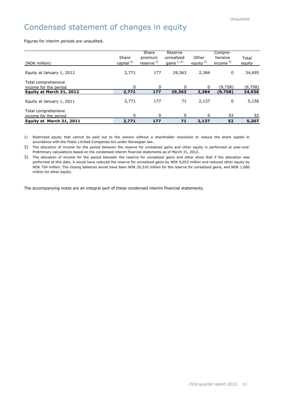# Condensed statement of changes in equity

Figures for interim periods are unaudited.

| (NOK million)                                                            | Share<br>capital <sup>1)</sup> | Share<br>premium<br>reserve $^{1)}$ | Reserve<br>unrealized<br>gains $1, 2$ | Other<br>equity $2$ ) | Compre-<br>hensive<br>income $3)$ | Total<br>equity   |
|--------------------------------------------------------------------------|--------------------------------|-------------------------------------|---------------------------------------|-----------------------|-----------------------------------|-------------------|
| Equity at January 1, 2012                                                | 2,771                          | 177                                 | 29,363                                | 2.384                 | 0                                 | 34,695            |
| Total comprehensive<br>income for the period<br>Equity at March 31, 2012 | $\Omega$<br>2,771              | <sup>0</sup><br>177                 | 29,363                                | 0<br>2,384            | (9,758)<br>(9,758)                | (9,758)<br>24,936 |
| Equity at January 1, 2011                                                | 2,771                          | 177                                 | 71                                    | 2,137                 | 0                                 | 5,156             |
| Total comprehensive<br>income for the period<br>Equity at March 31, 2011 | $\mathbf{0}$<br>2,771          | $\Omega$<br>177                     | 0<br>71                               | 0<br>2,137            | 52<br>52                          | 52<br>5,207       |

1) Restricted equity that cannot be paid out to the owners without a shareholder resolution to reduce the share capital in accordance with the Public Limited Companies Act under Norwegian law.

2) The allocation of income for the period between the reserve for unrealized gains and other equity is performed at year-end. Preliminary calculations based on the condensed interim financial statements as of March 31, 2012.

3) The allocation of income for the period between the reserve for unrealized gains and other show that if the allocation was performed at this date, it would have reduced the reserve for unrealized gains by NOK 9,053 million and reduced other equity by NOK 704 million. The closing balances would have been NOK 20,310 million for the reserve for unrealized gains, and NOK 1,680 million for other equity.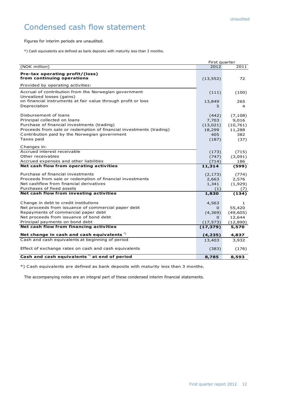# Condensed cash flow statement

Figures for interim periods are unaudited.

\*) Cash equivalents are defined as bank deposits with maturity less than 3 months.

|                                                                                                                                                                                                                                            | First quarter                                         |                                                         |
|--------------------------------------------------------------------------------------------------------------------------------------------------------------------------------------------------------------------------------------------|-------------------------------------------------------|---------------------------------------------------------|
| (NOK million)                                                                                                                                                                                                                              | 2012                                                  | 2011                                                    |
| Pre-tax operating profit/(loss)<br>from continuing operations                                                                                                                                                                              | (13, 552)                                             | 72                                                      |
| Provided by operating activities:                                                                                                                                                                                                          |                                                       |                                                         |
| Accrual of contribution from the Norwegian government                                                                                                                                                                                      | (111)                                                 | (100)                                                   |
| Unrealized losses (gains)<br>on financial instruments at fair value through profit or loss<br>Depreciation                                                                                                                                 | 13,849<br>5                                           | 265<br>4                                                |
| Disbursement of loans<br>Principal collected on loans<br>Purchase of financial investments (trading)<br>Proceeds from sale or redemption of financial investments (trading)<br>Contribution paid by the Norwegian government<br>Taxes paid | (442)<br>7,703<br>(13, 021)<br>18,299<br>405<br>(187) | (7, 108)<br>9,016<br>(10, 761)<br>11,288<br>382<br>(37) |
| Changes in:                                                                                                                                                                                                                                |                                                       |                                                         |
| Accrued interest receivable<br>Other receivables<br>Accrued expenses and other liabilities                                                                                                                                                 | (173)<br>(747)<br>(714)                               | (715)<br>(3,091)<br>186                                 |
| Net cash flow from operating activities                                                                                                                                                                                                    | 11,314                                                | (599)                                                   |
| Purchase of financial investments<br>Proceeds from sale or redemption of financial investments<br>Net cashflow from financial derivatives<br>Purchases of fixed assets                                                                     | (2, 173)<br>2,663<br>1,341<br>(1)                     | (774)<br>2,576<br>(1,929)<br>(7)                        |
| Net cash flow from investing activities                                                                                                                                                                                                    | 1,830                                                 | (134)                                                   |
| Change in debt to credit institutions<br>Net proceeds from issuance of commercial paper debt<br>Repayments of commercial paper debt<br>Net proceeds from issuance of bond debt                                                             | 4,563<br>0<br>(4, 369)<br>0                           | 1<br>55,420<br>(49, 605)<br>12,644                      |
| Principal payments on bond debt<br>Net cash flow from financing activities                                                                                                                                                                 | (17, 573)                                             | (12,890)                                                |
|                                                                                                                                                                                                                                            | (17, 379)                                             | 5,570                                                   |
| Net change in cash and cash equivalents $\tilde{ }$                                                                                                                                                                                        | (4, 235)                                              | 4,837                                                   |
| Cash and cash equivalents at beginning of period                                                                                                                                                                                           | 13,403                                                | 3,932                                                   |
| Effect of exchange rates on cash and cash equivalents                                                                                                                                                                                      | (383)                                                 | (176)                                                   |
| Cash and cash equivalents <sup>*</sup> ) at end of period                                                                                                                                                                                  | 8,785                                                 | 8,593                                                   |

\*) Cash equivalents are defined as bank deposits with maturity less than 3 months.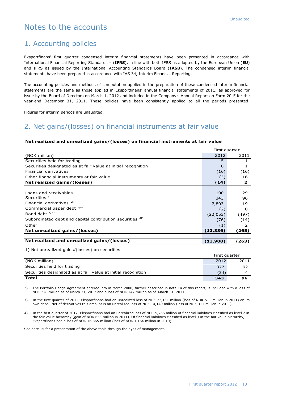## Notes to the accounts

### 1. Accounting policies

Eksportfinans' first quarter condensed interim financial statements have been presented in accordance with International Financial Reporting Standards – (**IFRS**), in line with both IFRS as adopted by the European Union (**EU**) and IFRS as issued by the International Accounting Standards Board (**IASB**). The condensed interim financial statements have been prepared in accordance with IAS 34, Interim Financial Reporting.

The accounting policies and methods of computation applied in the preparation of these condensed interim financial statements are the same as those applied in Eksportfinans' annual financial statements of 2011, as approved for issue by the Board of Directors on March 1, 2012 and included in the Company's Annual Report on Form 20-F for the year-end December 31, 2011. These policies have been consistently applied to all the periods presented.

Figures for interim periods are unaudited.

## 2. Net gains/(losses) on financial instruments at fair value

#### (NOK million) 2012 2011 Securities held for trading the securities of the securities held for trading the securities of the securities of the securities of the securities of the securities of the securities of the securities of the securities of Securities designated as at fair value at initial recognition and the control of the control of the control of the 1 Financial derivatives (16) (16) Other financial instruments at fair value (3) 16 **Net realized gains/(losses) (14) 2** Loans and receivables 100 29  $\sim$  Securities  $^{1)}$  96 Financial derivatives<sup>2)</sup> 219  $\blacksquare$  Commercial paper debt  $\frac{3}{4}$ ) (2) 0 Bond debt  $^{3/4}$  (22,053) (497) Subordinated debt and capital contribution securities  $3/4$  (36) (76) (14) Other (1) 2 **Net unrealized gains/(losses) (13,886) (265) Net realized and unrealized gains/(losses) (13,900) (263)** First quarter

#### **Net realized and unrealized gains/(losses) on financial instruments at fair value**

1) Net unrealized gains/(losses) on securities

|                                                               | First quarter |      |
|---------------------------------------------------------------|---------------|------|
| (NOK million)                                                 | 2012          | 2011 |
| Securities held for trading                                   | 377           | 92   |
| Securities designated as at fair value at initial recognition | (34)          |      |
| Total                                                         | 343           | 96   |

2) The Portfolio Hedge Agreement entered into in March 2008, further described in note 14 of this report, is included with a loss of NOK 278 million as of March 31, 2012 and a loss of NOK 147 million as of March 31, 2011.

3) In the first quarter of 2012, Eksportfinans had an unrealized loss of NOK 22,131 million (loss of NOK 511 million in 2011) on its own debt. Net of derivatives this amount is an unrealized loss of NOK 14,149 million (loss of NOK 311 million in 2011).

4) In the first quarter of 2012, Eksportfinans had an unrealized loss of NOK 5,766 million of financial liabilities classified as level 2 in the fair value hierarchy (gain of NOK 653 million in 2011). Of financial liabilities classified as level 3 in the fair value hierarchy, Eksportfinans had a loss of NOK 16,365 million (loss of NOK 1,164 million in 2010).

See note 15 for a presentation of the above table through the eyes of management.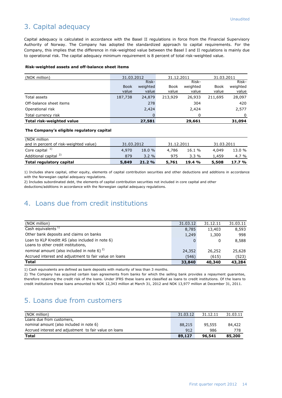## 3. Capital adequacy

Capital adequacy is calculated in accordance with the Basel II regulations in force from the Financial Supervisory Authority of Norway. The Company has adopted the standardized approach to capital requirements. For the Company, this implies that the difference in risk-weighted value between the Basel I and II regulations is mainly due to operational risk. The capital adequacy minimum requirement is 8 percent of total risk-weighted value.

#### **Risk-weighted assets and off-balance sheet items**

| (NOK million)             | 31.12.2011<br>31.03.2012 |          | 31.03.2011 |          |         |          |
|---------------------------|--------------------------|----------|------------|----------|---------|----------|
|                           |                          | Risk-    |            | Risk-    |         | Risk-    |
|                           | <b>Book</b>              | weighted | Book       | weighted | Book    | weighted |
|                           | value                    | value    | value      | value    | value   | value    |
| Total assets              | 187,738                  | 24,879   | 213,929    | 26,933   | 211,695 | 28,097   |
| Off-balance sheet items   |                          | 278      |            | 304      |         | 420      |
| Operational risk          |                          | 2,424    |            | 2,424    |         | 2,577    |
| Total currency risk       |                          |          |            | O        |         |          |
| Total risk-weighted value |                          | 27,581   |            | 29,661   |         | 31,094   |

#### **The Company's eligible regulatory capital**

| (NOK million                           |            |          |            |         |            |          |
|----------------------------------------|------------|----------|------------|---------|------------|----------|
| and in percent of risk-weighted value) | 31.03.2012 |          | 31.12.2011 |         | 31.03.2011 |          |
| Core capital $1$                       | 4.970      | 18.0 %   | 4,786      | 16.1 %  | 4,049      | 13.0 %   |
| Additional capital <sup>2)</sup>       | 879        | $3.2 \%$ | 975        | $3.3\%$ | 1.459      | 4.7 %    |
| <b>Total regulatory capital</b>        | 5,849      | 21.2%    | 5,761      | 19.4 %  | 5,508      | $17.7\%$ |

1) Includes share capital, other equity, elements of capital contribution securities and other deductions and additions in accordance with the Norwegian capital adequacy regulations.

2) Includes subordinated debt, the elements of capital contribution securities not included in core capital and other deductions/additions in accordance with the Norwegian capital adequacy regulations.

## 4. Loans due from credit institutions

| (NOK million)                                          | 31.03.12 | 31.12.11 | 31.03.11 |
|--------------------------------------------------------|----------|----------|----------|
| Cash equivalents $1$                                   | 8,785    | 13,403   | 8,593    |
| Other bank deposits and claims on banks                | 1,249    | 1,300    | 998      |
| Loan to KLP Kreditt AS (also included in note 6)       |          | 0        | 8,588    |
| Loans to other credit institutions,                    |          |          |          |
| nominal amount (also included in note 6) $^{2}$ )      | 24,352   | 26,252   | 25,628   |
| Accrued interest and adjustment to fair value on loans | (546)    | (615)    | (523)    |
| <b>Total</b>                                           | 33,840   | 40,340   | 43,284   |

1) Cash equivalents are defined as bank deposits with maturity of less than 3 months.

2) The Company has acquired certain loan agreements from banks for which the selling bank provides a repayment guarantee, therefore retaining the credit risk of the loans. Under IFRS these loans are classified as loans to credit institutions. Of the loans to credit institutions these loans amounted to NOK 12,343 million at March 31, 2012 and NOK 13,977 million at December 31, 2011.

## 5. Loans due from customers

| (NOK million)                                          | 31.03.12 | 31.12.11 | 31.03.11 |
|--------------------------------------------------------|----------|----------|----------|
| Loans due from customers,                              |          |          |          |
| nominal amount (also included in note 6)               | 88,215   | 95,555   | 84,422   |
| Accrued interest and adjustment to fair value on loans | 912      | 986      | 778      |
| <b>Total</b>                                           | 89,127   | 96,541   | 85,200   |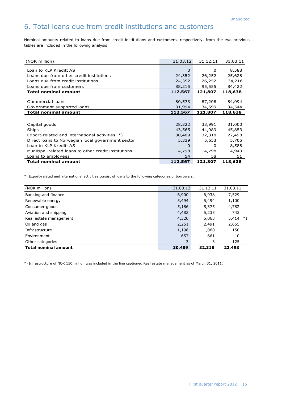## 6. Total loans due from credit institutions and customers

Nominal amounts related to loans due from credit institutions and customers, respectively, from the two previous tables are included in the following analysis.

| (NOK million)                                        | 31.03.12 | 31.12.11 | 31.03.11 |
|------------------------------------------------------|----------|----------|----------|
| Loan to KLP Kreditt AS                               | $\Omega$ | $\Omega$ | 8,588    |
| Loans due from other credit institutions             | 24,352   | 26,252   | 25,628   |
| Loans due from credit institutions                   | 24,352   | 26,252   | 34,216   |
| Loans due from customers                             | 88,215   | 95,555   | 84,422   |
| <b>Total nominal amount</b>                          | 112,567  | 121,807  | 118,638  |
|                                                      |          |          |          |
| Commercial loans                                     | 80,573   | 87,208   | 84,094   |
| Government-supported loans                           | 31,994   | 34,599   | 34,544   |
| <b>Total nominal amount</b>                          | 112,567  | 121,807  | 118,638  |
|                                                      |          |          |          |
| Capital goods                                        | 28,322   | 33,991   | 31,000   |
| Ships                                                | 43,565   | 44,989   | 45,853   |
| Export-related and international activities *)       | 30,489   | 32,318   | 22,498   |
| Direct loans to Norwegian local government sector    | 5,339    | 5,653    | 5,705    |
| Loan to KLP Kreditt AS                               | 0        | 0        | 8,588    |
| Municipal-related loans to other credit institutions | 4,798    | 4,798    | 4,943    |
| Loans to employees                                   | 54       | 58       | 51       |
| <b>Total nominal amount</b>                          | 112,567  | 121,807  | 118,638  |

\*) Export-related and international activities consist of loans to the following categories of borrowers:

| (NOK million)               | 31.03.12 | 31.12.11 | 31.03.11    |
|-----------------------------|----------|----------|-------------|
| Banking and finance         | 6,900    | 6,938    | 7,529       |
| Renewable energy            | 5,494    | 5,494    | 1,100       |
| Consumer goods              | 5,186    | 5,375    | 4,782       |
| Aviation and shipping       | 4,482    | 5,233    | 743         |
| Real estate management      | 4,320    | 5,063    | 5,414<br>*) |
| Oil and gas                 | 2,251    | 2,491    | 2,655       |
| Infrastructure              | 1,196    | 1,060    | 150         |
| Environment                 | 657      | 661      | 0           |
| Other categories            | 3        | 3        | 125         |
| <b>Total nominal amount</b> | 30,489   | 32,318   | 22,498      |

\*) Infrastructure of NOK 150 million was included in the line captioned Real estate management as of March 31, 2011.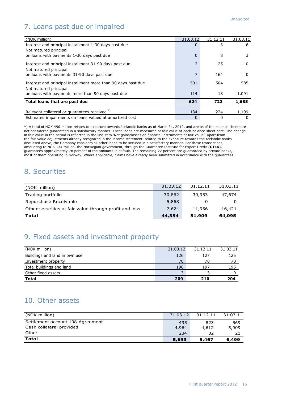# 7. Loans past due or impaired

| (NOK million)                                                                          | 31.03.12       | 31.12.11 | 31.03.11 |
|----------------------------------------------------------------------------------------|----------------|----------|----------|
| Interest and principal installment 1-30 days past due                                  | $\Omega$       | 3        | 6        |
| Not matured principal                                                                  |                |          |          |
| on loans with payments 1-30 days past due                                              | $\mathbf 0$    | 8        |          |
| Interest and principal installment 31-90 days past due<br>Not matured principal        | 2              | 25       | 0        |
| on loans with payments 31-90 days past due                                             | $\overline{7}$ | 164      | 0        |
| Interest and principal installment more than 90 days past due<br>Not matured principal | 501            | 504      | 585      |
| on loans with payments more than 90 days past due                                      | 114            | 18       | 1,091    |
| Total loans that are past due                                                          | 624            | 722      | 1,685    |
|                                                                                        |                |          |          |
| Relevant collateral or guarantees received *)                                          | 134            | 224      | 1,199    |
| Estimated impairments on loans valued at amortized cost                                | 0              | 0        | 0        |

\*) A total of NOK 490 million relates to exposure towards Icelandic banks as of March 31, 2012, and are as of the balance sheetdate not considered guaranteed in a satisfactory manner. These loans are measured at fair value at each balance sheet date. The change in fair value in the period is reflected in the line item 'Net gains/losses on financial instruments at fair value'. Apart from the fair value adjustments already recognized in the income statement, related to the exposure towards the Icelandic banks discussed above, the Company considers all other loans to be secured in a satisfactory manner. For these transactions, amounting to NOK 134 million, the Norwegian government, through the Guarantee Institute for Export Credit (**GIEK**), guarantees approximately 78 percent of the amounts in default. The remaining 22 percent are guaranteed by private banks, most of them operating in Norway. Where applicable, claims have already been submitted in accordance with the guarantees.

## 8. Securities

| (NOK million)                                          | 31.03.12 | 31.12.11 | 31.03.11 |
|--------------------------------------------------------|----------|----------|----------|
| Trading portfolio                                      | 30,862   | 39,953   | 47.674   |
| Repurchase Receivable                                  | 5,868    |          |          |
| Other securities at fair value through profit and loss | 7.624    | 11,956   | 16,421   |
| Total                                                  | 44,354   | 51,909   | 64,095   |

## 9. Fixed assets and investment property

| (NOK million)                 | 31.03.12 | 31.12.11 | 31.03.11 |
|-------------------------------|----------|----------|----------|
| Buildings and land in own use | 126      | 127      | 125      |
| Investment property           | 70       | 70       | 70       |
| Total buildings and land      | 196      | 197      | 195      |
| Other fixed assets            | 13       |          |          |
| <b>Total</b>                  | 209      | 210      | 204      |

## 10. Other assets

| (NOK million)                    | 31.03.12 | 31.12.11 | 31.03.11 |
|----------------------------------|----------|----------|----------|
| Settlement account 108-Agreement | 495      | 823      | 569      |
| Cash collateral provided         | 4,964    | 4.612    | 5,909    |
| Other                            | 234      | 32       |          |
| <b>Total</b>                     | 5,693    | 5,467    | 6,499    |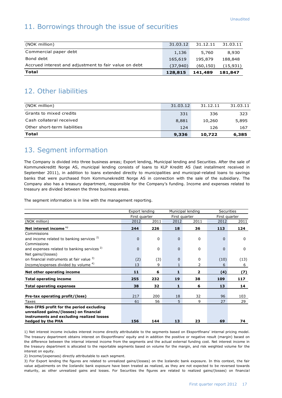## 11. Borrowings through the issue of securities

| Total                                                 | 128,815  | 141,489   | 181,847   |
|-------------------------------------------------------|----------|-----------|-----------|
| Accrued interest and adjustment to fair value on debt | (37.940) | (60, 150) | (15, 931) |
| Bond debt                                             | 165,619  | 195,879   | 188,848   |
| Commercial paper debt                                 | 1,136    | 5,760     | 8,930     |
| (NOK million)                                         | 31.03.12 | 31.12.11  | 31.03.11  |
|                                                       |          |           |           |

## 12. Other liabilities

| (NOK million)                | 31.03.12 | 31.12.11 | 31.03.11 |
|------------------------------|----------|----------|----------|
| Grants to mixed credits      | 331      | 336      | 323      |
| Cash collateral received     | 8,881    | 10,260   | 5,895    |
| Other short-term liabilities | 124      | 126      | 167      |
| Total                        | 9,336    | 10,722   | 6,385    |

## 13. Segment information

The Company is divided into three business areas; Export lending, Municipal lending and Securities. After the sale of Kommunekreditt Norge AS, municipal lending consists of loans to KLP Kreditt AS (last installment received in September 2011), in addition to loans extended directly to municipalities and municipal-related loans to savings banks that were purchased from Kommunekreditt Norge AS in connection with the sale of the subsidiary. The Company also has a treasury department, responsible for the Company's funding. Income and expenses related to treasury are divided between the three business areas.

The segment information is in line with the management reporting.

|                                                        | Export lending |          |          | Municipal lending | <b>Securities</b> |               |  |
|--------------------------------------------------------|----------------|----------|----------|-------------------|-------------------|---------------|--|
|                                                        | First quarter  |          |          | First quarter     |                   | First quarter |  |
| (NOK million)                                          | 2012           | 2011     | 2012     | 2011              | 2012              | 2011          |  |
| Net interest income <sup>1)</sup>                      | 244            | 226      | 18       | 36                | 113               | 124           |  |
| Commissions                                            |                |          |          |                   |                   |               |  |
| and income related to banking services <sup>2)</sup>   | $\Omega$       | 0        | $\Omega$ | 0                 | $\Omega$          | 0             |  |
| Commissions                                            |                |          |          |                   |                   |               |  |
| and expenses related to banking services <sup>2)</sup> | $\Omega$       | $\Omega$ | $\Omega$ | 0                 | $\Omega$          | $\mathbf{0}$  |  |
| Net gains/(losses)                                     |                |          |          |                   |                   |               |  |
| on financial instruments at fair value 3)              | (2)            | (3)      | $\Omega$ | $\Omega$          | (10)              | (13)          |  |
| Income/expenses divided by volume 4)                   | 13             | 9        |          | 2                 | 6                 | 6             |  |
| Net other operating income                             | 11             | 6        | 1        | $\overline{2}$    | (4)               | (7)           |  |
| <b>Total operating income</b>                          | 255            | 232      | 19       | 38                | 109               | 117           |  |
| <b>Total operating expenses</b>                        | 38             | 32       | 1        | 6                 | 13                | 14            |  |
|                                                        |                |          |          |                   |                   |               |  |
| Pre-tax operating profit/(loss)                        | 217            | 200      | 18       | 32                | 96                | 103           |  |
| Taxes                                                  | 61             | 56       | 5        | 9                 | 27                | 29            |  |
| Non-IFRS profit for the period excluding               |                |          |          |                   |                   |               |  |
| unrealized gains/(losses) on financial                 |                |          |          |                   |                   |               |  |
| instruments and excluding realized losses              |                |          |          |                   |                   |               |  |
| hedged by the PHA                                      | 156            | 144      | 13       | 23                | 69                | 74            |  |

1) Net interest income includes interest income directly attributable to the segments based on Eksportfinans' internal pricing model. The treasury department obtains interest on Eksportfinans' equity and in addition the positive or negative result (margin) based on the difference between the internal interest income from the segments and the actual external funding cost. Net interest income in the treasury department is allocated to the reportable segments based on volume for the margin, and risk weighted volume for the interest on equity.

2) Income/(expenses) directly attributable to each segment.

3) For Export lending the figures are related to unrealized gains/(losses) on the Icelandic bank exposure. In this context, the fair value adjustments on the Icelandic bank exposure have been treated as realized, as they are not expected to be reversed towards maturity, as other unrealized gains and losses. For Securities the figures are related to realized gains/(losses) on financial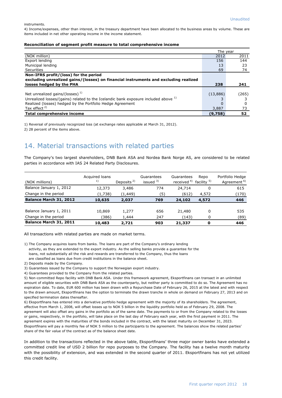instruments.

4) Income/expenses, other than interest, in the treasury department have been allocated to the business areas by volume. These are items included in net other operating income in the income statement.

#### **Reconciliation of segment profit measure to total comprehensive income**

|                                                                                        | The year |       |
|----------------------------------------------------------------------------------------|----------|-------|
| (NOK million)                                                                          | 2012     | 2011  |
| Export lending                                                                         | 156      | 144   |
| Municipal lending                                                                      | 13       | 23    |
| Securities                                                                             | 69       | 74    |
| Non-IFRS profit/(loss) for the period                                                  |          |       |
| excluding unrealized gains/(losses) on financial instruments and excluding realized    |          |       |
| losses hedged by the PHA                                                               | 238      | 241   |
|                                                                                        |          |       |
| Net unrealized gains/(losses) $1$                                                      | (13,886) | (265) |
| Unrealized losses/(gains) related to the Icelandic bank exposure included above $^{1}$ |          |       |
| Realized (losses) hedged by the Portfolio Hedge Agreement                              |          | n     |
| Tax effect <sup>2)</sup>                                                               | 3,887    | 73    |
| Total comprehensive income                                                             | (9,758)  | 52    |

1) Reversal of previously recognized loss (at exchange rates applicable at March 31, 2012). 2) 28 percent of the items above.

## 14. Material transactions with related parties

The Company's two largest shareholders, DNB Bank ASA and Nordea Bank Norge AS, are considered to be related parties in accordance with IAS 24 Related Party Disclosures.

| (NOK millions)          | Acquired loans<br>1) | Deposits <sup>2)</sup> | Guarantees<br>issued $3)$ | Guarantees<br>received $4$ <sup>)</sup> facility $5$ <sup>)</sup> | Repo  | Portfolio Hedge<br>Agreement <sup>6)</sup> |
|-------------------------|----------------------|------------------------|---------------------------|-------------------------------------------------------------------|-------|--------------------------------------------|
| Balance January 1, 2012 | 12,373               | 3,486                  | 774                       | 24,714                                                            | 0     | 615                                        |
| Change in the period    | (1,738)              | (1,449)                | ′5)                       | (612)                                                             | 4,572 | (170)                                      |
| Balance March 31, 2012  | 10,635               | 2,037                  | 769                       | 24,102                                                            | 4,572 | 446                                        |
|                         |                      |                        |                           |                                                                   |       |                                            |
| Balance January 1, 2011 | 10,869               | 1,277                  | 656                       | 21,480                                                            | 0     | 535                                        |
| Change in the period    | (386)                | 1,444                  | 247                       | (143)                                                             | 0     | (89)                                       |
| Balance March 31, 2011  | 10,483               | 2,721                  | 903                       | 21,337                                                            | 0     | 446                                        |

All transactions with related parties are made on market terms.

1) The Company acquires loans from banks. The loans are part of the Company's ordinary lending activity, as they are extended to the export industry. As the selling banks provide a guarantee for the loans, not substantially all the risk and rewards are transferred to the Company, thus the loans are classified as loans due from credit institutions in the balance sheet.

2) Deposits made by the Company.

3) Guarantees issued by the Company to support the Norwegian export industry.

4) Guarantees provided to the Company from the related parties.

5) Non-committed Repo facility with DNB Bank ASA. Under this framework agreement, Eksportfinans can transact in an unlimited amount of eligible securities with DNB Bank ASA as the counterparty, but neither party is committed to do so. The Agreement has no expiration date. To date, EUR 600 million has been drawn with a Repurchase Date of February 26, 2015 at the latest and with respect to the drawn amount, Eksportfinans has the option to terminate the drawn tranche in whole on demand on February 27, 2013 and on specified termination dates thereafter.

6) Eksportfinans has entered into a derivative portfolio hedge agreement with the majority of its shareholders. The agreement, effective from March 1, 2008, will offset losses up to NOK 5 billion in the liquidity portfolio held as of February 29, 2008. The agreement will also offset any gains in the portfolio as of the same date. The payments to or from the Company related to the losses or gains, respectively, in the portfolio, will take place on the last day of February each year, with the first payment in 2011. The agreement expires with the maturities of the bonds included in the contract, with the latest maturity on December 31, 2023. Eksportfinans will pay a monthly fee of NOK 5 million to the participants to the agreement. The balances show the related parties' share of the fair value of the contract as of the balance sheet date.

In addition to the transactions reflected in the above table, Eksportfinans' three major owner banks have extended a committed credit line of USD 2 billion for repo purposes to the Company. The facility has a twelve month maturity with the possibility of extension, and was extended in the second quarter of 2011. Eksportfinans has not yet utilized this credit facility.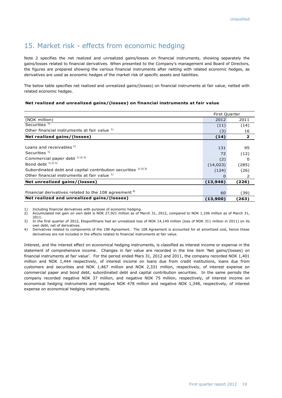## 15. Market risk - effects from economic hedging

Note 2 specifies the net realized and unrealized gains/losses on financial instruments, showing separately the gains/losses related to financial derivatives. When presented to the Company's management and Board of Directors, the figures are prepared showing the various financial instruments after netting with related economic hedges, as derivatives are used as economic hedges of the market risk of specific assets and liabilities.

The below table specifies net realized and unrealized gains/(losses) on financial instruments at fair value, netted with related economic hedges.

#### **Net realized and unrealized gains/(losses) on financial instruments at fair value**

|                                                                  | <b>First Quarter</b> |                |  |
|------------------------------------------------------------------|----------------------|----------------|--|
| (NOK million)                                                    | 2012                 | 2011           |  |
| Securities <sup>1)</sup>                                         | (11)                 | (14)           |  |
| Other financial instruments at fair value 1)                     | (3)                  | 16             |  |
| Net realized gains/(losses)                                      | (14)                 | $\overline{2}$ |  |
|                                                                  |                      |                |  |
| Loans and receivables <sup>1)</sup>                              | 131                  | 95             |  |
| Securities <sup>1)</sup>                                         | 72                   | (12)           |  |
| Commercial paper debt $^{1/2}$ <sup>3)</sup>                     | (2)                  | 0              |  |
| Bond debt $^{1/2}$ 3)                                            | (14, 023)            | (285)          |  |
| Subordinated debt and capital contribution securities 1) 2) 3)   | (124)                | (26)           |  |
| Other financial instruments at fair value 1)                     | O                    | 2              |  |
| Net unrealized gains/(losses)                                    | (13, 946)            | (226)          |  |
|                                                                  |                      |                |  |
| Financial derivatives related to the 108 agreement <sup>4)</sup> | 60                   | (39)           |  |
| Net realized and unrealized gains/(losses)                       | (13,900)             | (263)          |  |

1) Including financial derivatives with purpose of economic hedging.<br>2) Accumulated net gain on own debt is NOK 27,921 million as of M 2) Accumulated net gain on own debt is NOK 27,921 million as of March 31, 2012, compared to NOK 1,106 million as of March 31, 2011.

3) In the first quarter of 2012, Eksportfinans had an unrealized loss of NOK 14,149 million (loss of NOK 311 million in 2011) on its own debt, net of derivatives.

4) Derivatives related to components of the 108 Agreement. The 108 Agreement is accounted for at amortized cost, hence these derivatives are not included in the effects related to financial instruments at fair value.

Interest, and the interest effect on economical hedging instruments, is classified as interest income or expense in the statement of comprehensive income. Changes in fair value are recorded in the line item 'Net gains/(losses) on financial instruments at fair value'. For the period ended Mars 31, 2012 and 2011, the company recorded NOK 1,401 million and NOK 1,444 respectively, of interest income on loans due from credit institutions, loans due from customers and securities and NOK 1,467 million and NOK 2,331 million, respectively, of interest expense on commercial paper and bond debt, subordinated debt and capital contribution securities. In the same periods the company recorded negative NOK 37 million, and negative NOK 75 million, respectively, of interest income on economical hedging instruments and negative NOK 478 million and negative NOK 1,348, respectively, of interest expense on economical hedging instruments.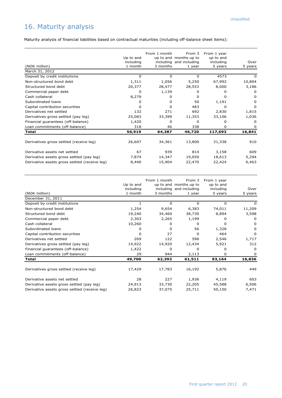# 16. Maturity analysis

Maturity analysis of financial liabilities based on contractual maturities (including off-balance sheet items):

|                                               | Up to and            | From 1 month | From 3<br>up to and months up to  | From 1 year<br>up to and |                 |
|-----------------------------------------------|----------------------|--------------|-----------------------------------|--------------------------|-----------------|
| (NOK million)                                 | including<br>1 month | 3 months     | including and including<br>1 year | including<br>5 years     | Over<br>5 years |
| March 31, 2012                                |                      |              |                                   |                          |                 |
| Deposit by credit institutions                | 0                    | 0            | 0                                 | 4573                     | 0               |
| Non-structured bond debt                      | 1,311                | 1,056        | 5,250                             | 67,992                   | 10,804          |
| Structured bond debt                          | 20,377               | 28,477       | 28,553                            | 8,000                    | 3,186           |
| Commercial paper debt                         | 0                    | 1,139        | 0                                 | 0                        | $\Omega$        |
| Cash collateral                               | 8,279                | 0            | <sup>0</sup>                      | O                        | O               |
| Subordinated loans                            | 0                    | <sup>0</sup> | 50                                | 1,191                    | O               |
| Capital contribution securities               | n                    | n            | 483                               | 0                        | <sup>0</sup>    |
| Derivatives net settled                       | 132                  | 271          | 692                               | 2,830                    | 1,815           |
| Derivatives gross settled (pay leg)           | 25,083               | 33,399       | 11,353                            | 33,106                   | 1,036           |
| Financial guarantees (off-balance)            | 1,420                | 0            | 0                                 | O                        | $\Omega$        |
| Loan commitments (off-balance)                | 318                  | 46           | 338                               | 0                        | $\Omega$        |
| Total                                         | 56,919               | 64,387       | 46,720                            | 117,693                  | 16,841          |
|                                               |                      |              |                                   |                          |                 |
| Derivatives gross settled (receive leg)       | 26,607               | 34,361       | 13,800                            | 31,338                   | 910             |
| Derivative assets net settled                 | 67                   | 939          | 814                               | 3,158                    | 609             |
| Derivative assets gross settled (pay leg)     | 7,874                | 14,347       | 19,059                            | 18,613                   | 5,294           |
| Derivative assets gross settled (receive leg) | 8,440                | 15,904       | 22,470                            | 22,424                   | 6,463           |

| (NOK million)                                 | Up to and<br>including<br>1 month | From 1 month<br>3 months | From 3<br>up to and months up to<br>including and including<br>1 year | From 1 year<br>up to and<br>including<br>5 years | Over<br>5 years |
|-----------------------------------------------|-----------------------------------|--------------------------|-----------------------------------------------------------------------|--------------------------------------------------|-----------------|
| December 31, 2011                             |                                   |                          |                                                                       |                                                  |                 |
| Deposit by credit institutions                |                                   | 0                        | $\Omega$                                                              | $\Omega$                                         | 0               |
| Non-structured bond debt                      | 1,254                             | 9,654                    | 6,383                                                                 | 74,011                                           | 11,209          |
| Structured bond debt                          | 19,240                            | 34,460                   | 38,730                                                                | 8,894                                            | 3,598           |
| Commercial paper debt                         | 2,303                             | 2,265                    | 1,199                                                                 | 0                                                | 0               |
| Cash collateral                               | 10,260                            | 0                        | <sup>0</sup>                                                          | 0                                                | 0               |
| Subordinated loans                            | 0                                 | <sup>0</sup>             | 56                                                                    | 1,328                                            | 0               |
| Capital contribution securities               | O                                 | 27                       | <sup>0</sup>                                                          | 464                                              | 0               |
| Derivatives net settled                       | 269                               | 122                      | 596                                                                   | 2,546                                            | 1,717           |
| Derivatives gross settled (pay leg)           | 14,922                            | 14,920                   | 12,434                                                                | 5,921                                            | 312             |
| Financial guarantees (off-balance)            | 1,422                             | <sup>0</sup>             | <sup>0</sup>                                                          | 0                                                | <sup>0</sup>    |
| Loan commitments (off-balance)                | 29                                | 944                      | 2,113                                                                 | 0                                                | 0               |
| Total                                         | 49,700                            | 62,392                   | 61,511                                                                | 93,164                                           | 16,836          |
|                                               |                                   |                          |                                                                       |                                                  |                 |
| Derivatives gross settled (receive leg)       | 17,429                            | 17,783                   | 16,192                                                                | 5,876                                            | 449             |
| Derivative assets net settled                 | 28                                | 227                      | 1,936                                                                 | 4,119                                            | 603             |
| Derivative assets gross settled (pay leg)     | 24,913                            | 33,730                   | 22,205                                                                | 45,588                                           | 6,506           |
| Derivative assets gross settled (receive leg) | 26,823                            | 37,075                   | 25,711                                                                | 50,150                                           | 7,471           |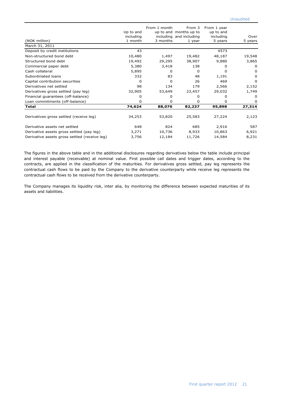| (NOK million)                                 | Up to and<br>including<br>1 month | From 1 month<br>3 months | From 3<br>up to and months up to<br>including and including<br>1 year | From 1 year<br>up to and<br>including<br>5 years | Over<br>5 years |
|-----------------------------------------------|-----------------------------------|--------------------------|-----------------------------------------------------------------------|--------------------------------------------------|-----------------|
| March 31, 2011                                |                                   |                          |                                                                       |                                                  |                 |
| Deposit by credit institutions                | 43                                |                          |                                                                       | 4573                                             |                 |
| Non-structured bond debt                      | 10,480                            | 1,497                    | 19,482                                                                | 48,187                                           | 19,548          |
| Structured bond debt                          | 19,492                            | 29,295                   | 38,907                                                                | 9,880                                            | 3,865           |
| Commercial paper debt                         | 5,380                             | 3,418                    | 138                                                                   | 0                                                | 0               |
| Cash collateral                               | 5,895                             | $\Omega$                 | 0                                                                     | 0                                                | <sup>0</sup>    |
| Subordinated loans                            | 332                               | 83                       | 48                                                                    | 1,191                                            | O               |
| Capital contribution securities               | 0                                 | 0                        | 26                                                                    | 469                                              | $\Omega$        |
| Derivatives net settled                       | 98                                | 134                      | 179                                                                   | 2,566                                            | 2,152           |
| Derivatives gross settled (pay leg)           | 32,905                            | 53,649                   | 23,457                                                                | 29,032                                           | 1,749           |
| Financial guarantees (off-balance)            | 0                                 | 0                        | 0                                                                     | 0                                                | 0               |
| Loan commitments (off-balance)                | 0                                 | 0                        | 0                                                                     | 0                                                | 0               |
| Total                                         | 74,624                            | 88,076                   | 82,237                                                                | 95,898                                           | 27,314          |
|                                               |                                   |                          |                                                                       |                                                  |                 |
| Derivatives gross settled (receive leg)       | 34,253                            | 53,820                   | 25,583                                                                | 27,224                                           | 2,123           |
| Derivative assets net settled                 | 648                               | 824                      | 685                                                                   | 2,916                                            | 587             |
| Derivative assets gross settled (pay leg)     | 3,271                             | 10,736                   | 8,933                                                                 | 10,863                                           | 6,921           |
| Derivative assets gross settled (receive leg) | 3,756                             | 12,184                   | 11,726                                                                | 14,584                                           | 8,231           |

The figures in the above table and in the additional disclosures regarding derivatives below the table include principal and interest payable (receivable) at nominal value. First possible call dates and trigger dates, according to the contracts, are applied in the classification of the maturities. For derivatives gross settled, pay leg represents the contractual cash flows to be paid by the Company to the derivative counterparty while receive leg represents the contractual cash flows to be received from the derivative counterparty.

The Company manages its liquidity risk, inter alia, by monitoring the difference between expected maturities of its assets and liabilities.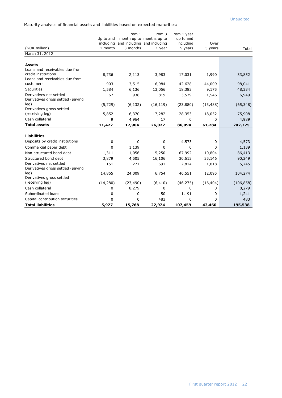Maturity analysis of financial assets and liabilities based on expected maturities:

|                                                              | Up to and<br>including | From 1    | From 3<br>month up to months up to<br>and including and including | From 1 year<br>up to and<br>including | Over      |            |
|--------------------------------------------------------------|------------------------|-----------|-------------------------------------------------------------------|---------------------------------------|-----------|------------|
| (NOK million)                                                | 1 month                | 3 months  | 1 year                                                            | 5 years                               | 5 years   | Total      |
| March 31, 2012                                               |                        |           |                                                                   |                                       |           |            |
|                                                              |                        |           |                                                                   |                                       |           |            |
| <b>Assets</b>                                                |                        |           |                                                                   |                                       |           |            |
| Loans and receivables due from                               |                        |           |                                                                   |                                       |           |            |
| credit institutions                                          | 8,736                  | 2,113     | 3,983                                                             | 17,031                                | 1,990     | 33,852     |
| Loans and receivables due from<br>customers                  |                        |           |                                                                   |                                       |           |            |
| <b>Securities</b>                                            | 903                    | 3,515     | 6,984                                                             | 42,628                                | 44,009    | 98,041     |
|                                                              | 1,584                  | 6,136     | 13,056                                                            | 18,383                                | 9,175     | 48,334     |
| Derivatives net settled<br>Derivatives gross settled (paying | 67                     | 938       | 819                                                               | 3,579                                 | 1,546     | 6,949      |
| leg)                                                         | (5, 729)               | (6, 132)  | (16, 119)                                                         | (23,880)                              | (13, 488) | (65, 348)  |
| Derivatives gross settled                                    |                        |           |                                                                   |                                       |           |            |
| (receiving leg)                                              | 5,852                  | 6,370     | 17,282                                                            | 28,353                                | 18,052    | 75,908     |
| Cash collateral                                              | 9                      | 4,964     | 17                                                                | 0                                     | 0         | 4,989      |
| <b>Total assets</b>                                          | 11,422                 | 17,904    | 26,022                                                            | 86,094                                | 61,284    | 202,725    |
|                                                              |                        |           |                                                                   |                                       |           |            |
| <b>Liabilities</b>                                           |                        |           |                                                                   |                                       |           |            |
| Deposits by credit institutions                              | 0                      | 0         | 0                                                                 | 4,573                                 | 0         | 4,573      |
| Commercial paper debt                                        | 0                      | 1,139     | 0                                                                 | 0                                     | 0         | 1,139      |
| Non-structured bond debt                                     | 1,311                  | 1,056     | 5,250                                                             | 67,992                                | 10,804    | 86,413     |
| Structured bond debt                                         | 3,879                  | 4,505     | 16,106                                                            | 30,613                                | 35,146    | 90,249     |
| Derivatives net settled<br>Derivatives gross settled (paying | 151                    | 271       | 691                                                               | 2,814                                 | 1,818     | 5,745      |
| leg)<br>Derivatives gross settled                            | 14,865                 | 24,009    | 6,754                                                             | 46,551                                | 12,095    | 104,274    |
| (receiving leg)                                              | (14, 280)              | (23, 490) | (6, 410)                                                          | (46, 275)                             | (16, 404) | (106, 858) |
| Cash collateral                                              | 0                      | 8,279     | 0                                                                 | 0                                     | 0         | 8,279      |
| Subordinated loans                                           | 0                      | 0         | 50                                                                | 1,191                                 | 0         | 1,241      |
| Capital contribution securities                              | 0                      | 0         | 483                                                               | 0                                     | 0         | 483        |
| <b>Total liabilities</b>                                     | 5,927                  | 15,768    | 22,924                                                            | 107,459                               | 43,460    | 195,538    |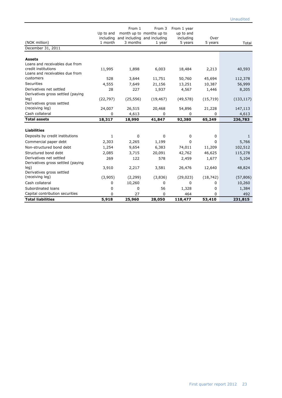|                                   |           | From 1    | From 3                      | From 1 year |           |              |
|-----------------------------------|-----------|-----------|-----------------------------|-------------|-----------|--------------|
|                                   | Up to and |           | month up to months up to    | up to and   |           |              |
|                                   | including |           | and including and including | including   | Over      |              |
| (NOK million)                     | 1 month   | 3 months  | 1 year                      | 5 years     | 5 years   | Total        |
| December 31, 2011                 |           |           |                             |             |           |              |
| <b>Assets</b>                     |           |           |                             |             |           |              |
| Loans and receivables due from    |           |           |                             |             |           |              |
| credit institutions               | 11,995    | 1,898     | 6,003                       | 18,484      | 2,213     | 40,593       |
| Loans and receivables due from    |           |           |                             |             |           |              |
| customers                         | 528       | 3,644     | 11,751                      | 50,760      | 45,694    | 112,378      |
| <b>Securities</b>                 | 4,555     | 7,649     | 21,156                      | 13,251      | 10,387    | 56,999       |
| Derivatives net settled           | 28        | 227       | 1,937                       | 4,567       | 1,446     | 8,205        |
| Derivatives gross settled (paying |           |           |                             |             |           |              |
| leg)                              | (22, 797) | (25, 556) | (19, 467)                   | (49, 578)   | (15, 719) | (133, 117)   |
| Derivatives gross settled         |           |           |                             |             |           |              |
| (receiving leg)                   | 24,007    | 26,515    | 20,468                      | 54,896      | 21,228    | 147,113      |
| Cash collateral                   | 0         | 4,613     | 0                           | 0           | 0         | 4,613        |
| <b>Total assets</b>               | 18,317    | 18,990    | 41,847                      | 92,380      | 65,249    | 236,783      |
|                                   |           |           |                             |             |           |              |
| <b>Liabilities</b>                |           |           |                             |             |           |              |
| Deposits by credit institutions   | 1         | 0         | 0                           | 0           | 0         | $\mathbf{1}$ |
| Commercial paper debt             | 2,303     | 2,265     | 1,199                       | 0           | 0         | 5,766        |
| Non-structured bond debt          | 1,254     | 9,654     | 6,383                       | 74,011      | 11,209    | 102,512      |
| Structured bond debt              | 2,085     | 3,715     | 20,091                      | 42,762      | 46,625    | 115,278      |
| Derivatives net settled           | 269       | 122       | 578                         | 2,459       | 1,677     | 5,104        |
| Derivatives gross settled (paying |           |           |                             |             |           |              |
| leg)                              | 3,910     | 2,217     | 3,581                       | 26,476      | 12,640    | 48,824       |
| Derivatives gross settled         |           |           |                             |             |           |              |
| (receiving leg)                   | (3,905)   | (2, 299)  | (3,836)                     | (29, 023)   | (18, 742) | (57, 806)    |
| Cash collateral                   | 0         | 10,260    | 0                           | 0           | 0         | 10,260       |
| Subordinated loans                | 0         | 0         | 56                          | 1,328       | 0         | 1,384        |
| Capital contribution securities   | 0         | 27        | 0                           | 464         | 0         | 492          |
| <b>Total liabilities</b>          | 5,918     | 25,960    | 28,050                      | 118,477     | 53,410    | 231,815      |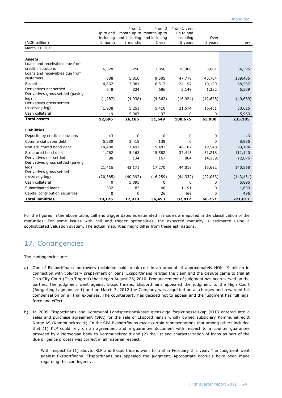| (NOK million)                                                | Up to and<br>including<br>1 month | From 1<br>3 months | From 3<br>month up to months up to<br>and including and including<br>1 year | From 1 year<br>up to and<br>including<br>5 years | Over<br>5 years | Total      |
|--------------------------------------------------------------|-----------------------------------|--------------------|-----------------------------------------------------------------------------|--------------------------------------------------|-----------------|------------|
| March 31, 2011                                               |                                   |                    |                                                                             |                                                  |                 |            |
| <b>Assets</b><br>Loans and receivables due from              |                                   |                    |                                                                             |                                                  |                 |            |
| credit institutions<br>Loans and receivables due from        | 6,528                             | 250                | 3,856                                                                       | 20,900                                           | 3,061           | 34,595     |
| customers                                                    | 688                               | 5,810              | 9,505                                                                       | 47,778                                           | 45,704          | 109,485    |
| Securities                                                   | 4,662                             | 13,081             | 16,517                                                                      | 24,197                                           | 10,129          | 68,587     |
| Derivatives net settled<br>Derivatives gross settled (paying | 648                               | 824                | 686                                                                         | 3,149                                            | 1,232           | 6,539      |
| leg)<br>Derivatives gross settled                            | (1,787)                           | (4,938)            | (4, 362)                                                                    | (16, 924)                                        | (12, 678)       | (40, 689)  |
| (receiving leg)                                              | 1,938                             | 5,251              | 5,410                                                                       | 21,574                                           | 16,451          | 50,625     |
| Cash collateral                                              | 19                                | 5,907              | 37                                                                          | 0                                                | 0               | 5,963      |
| <b>Total assets</b>                                          | 12,696                            | 26,185             | 31,649                                                                      | 100,675                                          | 63,900          | 235,105    |
|                                                              |                                   |                    |                                                                             |                                                  |                 |            |
| <b>Liabilities</b>                                           |                                   |                    |                                                                             |                                                  |                 |            |
| Deposits by credit institutions                              | 43                                | 0                  | 0                                                                           | 0                                                | 0               | 43         |
| Commercial paper debt                                        | 5,380                             | 3,418              | 138                                                                         | 0                                                | 0               | 8,936      |
| Non-structured bond debt                                     | 10,480                            | 1,497              | 19,482                                                                      | 48,187                                           | 19,548          | 99,194     |
| Structured bond debt                                         | 1,762                             | 5,163              | 15,582                                                                      | 37,415                                           | 51,218          | 111,140    |
| Derivatives net settled<br>Derivatives gross settled (paying | 98                                | 134                | 167                                                                         | 864                                              | (4, 139)        | (2,876)    |
| leq)<br>Derivatives gross settled                            | 21,416                            | 42,171             | 17,270                                                                      | 44,018                                           | 15,692          | 140,568    |
| (receiving leg)                                              | (20, 385)                         | (40, 392)          | (16, 259)                                                                   | (44, 332)                                        | (22,063)        | (143, 431) |
| Cash collateral                                              | 0                                 | 5,895              | 0                                                                           | 0                                                | 0               | 5,895      |
| Subordinated loans                                           | 332                               | 83                 | 48                                                                          | 1,191                                            | 0               | 1,653      |
| Capital contribution securities                              | 0                                 | 0                  | 26                                                                          | 469                                              | 0               | 496        |
| <b>Total liabilities</b>                                     | 19,126                            | 17,970             | 36,453                                                                      | 87,812                                           | 60,257          | 221,617    |

For the figures in the above table, call and trigger dates as estimated in models are applied in the classification of the maturities. For some issues with call and trigger optionalities, the expected maturity is estimated using a sophisticated valuation system. The actual maturities might differ from these estimations.

## 17. Contingencies

The contingencies are:

- a) One of Eksportfinans' borrowers reclaimed paid break cost in an amount of approximately NOK 19 million in connection with voluntary prepayment of loans. Eksportfinans refuted the claim and the dispute came to trial at Oslo City Court (Oslo Tingrett) that began August 26, 2010. Pronouncement of judgment has been served on the parties. The judgment went against Eksportfinans. Eksportfinans appealed the judgment to the High Court (Borgarting Lagmannsrett) and on March 3, 2012 the Company was acquitted on all charges and rewarded full compensation on all trial expenses. The counterparty has decided not to appeal and the judgment has full legal force and effect.
- b) In 2009 Eksportfinans and Kommunal Landspensjonskasse gjensidige forsikringsselskap (KLP) entered into a sales and purchase agreement (SPA) for the sale of Eksportfinans's wholly owned subsidiary Kommunekreditt Norge AS (Kommunekreditt). In the SPA Eksportfinans made certain representations that among others included that (1) KLP could rely on an agreement and a guarantee document with respect to a counter guarantee provided by a Norwegian bank to Kommunekreditt and (2) the list and characterization of loans as part of the due diligence process was correct in all material respect.

With respect to (1) above: KLP and Eksportfinans went to trial in February this year. The Judgment went against Eksportfinans. Eksportfinans has appealed the judgment. Appropriate accruals have been made regarding this contingency.